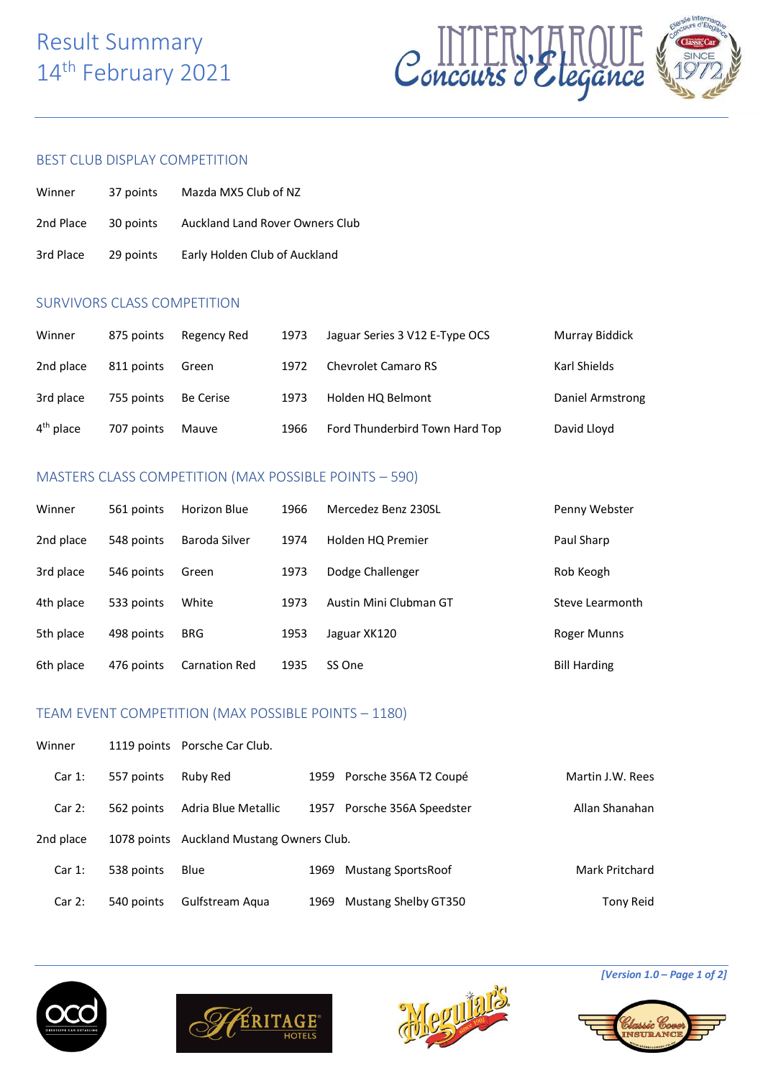# Result Summary 14<sup>th</sup> February 2021



#### BEST CLUB DISPLAY COMPETITION

| Winner    | 37 points | Mazda MX5 Club of NZ            |
|-----------|-----------|---------------------------------|
| 2nd Place | 30 points | Auckland Land Rover Owners Club |
| 3rd Place | 29 points | Early Holden Club of Auckland   |

### SURVIVORS CLASS COMPETITION

| Winner      | 875 points | Regency Red | 1973 | Jaguar Series 3 V12 E-Type OCS | Murray Biddick   |
|-------------|------------|-------------|------|--------------------------------|------------------|
| 2nd place   | 811 points | Green       | 1972 | <b>Chevrolet Camaro RS</b>     | Karl Shields     |
| 3rd place   | 755 points | Be Cerise   | 1973 | Holden HQ Belmont              | Daniel Armstrong |
| $4th$ place | 707 points | Mauve       | 1966 | Ford Thunderbird Town Hard Top | David Lloyd      |

# MASTERS CLASS COMPETITION (MAX POSSIBLE POINTS – 590)

| Winner    | 561 points | Horizon Blue         | 1966 | Mercedez Benz 230SL    | Penny Webster       |
|-----------|------------|----------------------|------|------------------------|---------------------|
| 2nd place | 548 points | Baroda Silver        | 1974 | Holden HQ Premier      | Paul Sharp          |
| 3rd place | 546 points | Green                | 1973 | Dodge Challenger       | Rob Keogh           |
| 4th place | 533 points | White                | 1973 | Austin Mini Clubman GT | Steve Learmonth     |
| 5th place | 498 points | <b>BRG</b>           | 1953 | Jaguar XK120           | Roger Munns         |
| 6th place | 476 points | <b>Carnation Red</b> | 1935 | SS One                 | <b>Bill Harding</b> |

## TEAM EVENT COMPETITION (MAX POSSIBLE POINTS – 1180)

| Winner    |             | 1119 points Porsche Car Club. |      |                           |                  |
|-----------|-------------|-------------------------------|------|---------------------------|------------------|
| Car1:     | 557 points  | Ruby Red                      | 1959 | Porsche 356A T2 Coupé     | Martin J.W. Rees |
| Car2:     | 562 points  | Adria Blue Metallic           | 1957 | Porsche 356A Speedster    | Allan Shanahan   |
| 2nd place | 1078 points | Auckland Mustang Owners Club. |      |                           |                  |
| Car 1:    | 538 points  | Blue                          | 1969 | <b>Mustang SportsRoof</b> | Mark Pritchard   |
| Car2:     | 540 points  | Gulfstream Aqua               | 1969 | Mustang Shelby GT350      | Tony Reid        |







*[Version 1.0 – Page 1 of 2]*